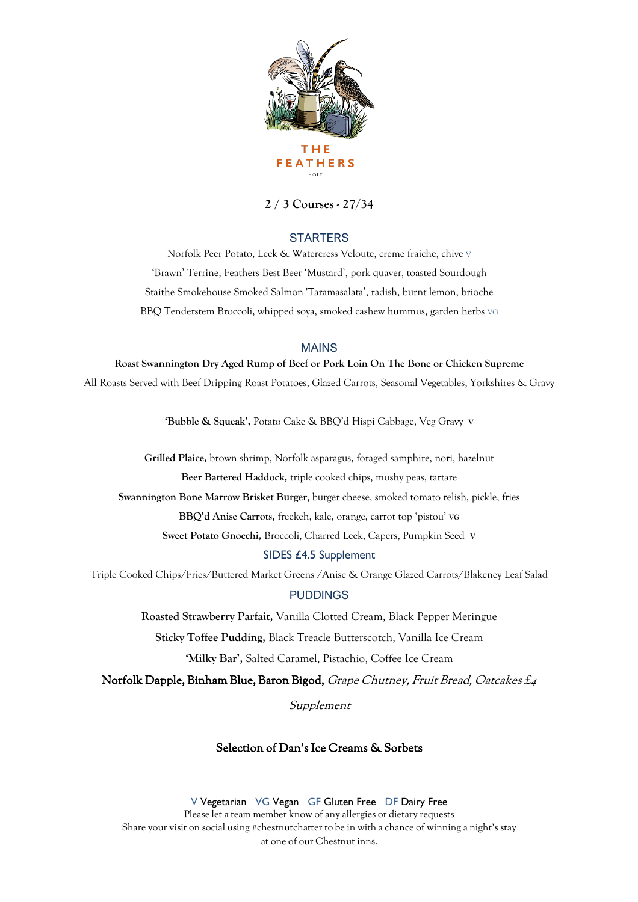

# **2 / 3 Courses - 27/34**

## **STARTERS**

Norfolk Peer Potato, Leek & Watercress Veloute, creme fraiche, chive V 'Brawn' Terrine, Feathers Best Beer 'Mustard', pork quaver, toasted Sourdough Staithe Smokehouse Smoked Salmon 'Taramasalata', radish, burnt lemon, brioche BBQ Tenderstem Broccoli, whipped soya, smoked cashew hummus, garden herbs VG

### MAINS

#### **Roast Swannington Dry Aged Rump of Beef or Pork Loin On The Bone or Chicken Supreme**

All Roasts Served with Beef Dripping Roast Potatoes, Glazed Carrots, Seasonal Vegetables, Yorkshires & Gravy

**'Bubble & Squeak',** Potato Cake & BBQ'd Hispi Cabbage, Veg Gravy **<sup>V</sup>**

**Grilled Plaice,** brown shrimp, Norfolk asparagus, foraged samphire, nori, hazelnut

**Beer Battered Haddock,** triple cooked chips, mushy peas, tartare

**Swannington Bone Marrow Brisket Burger**, burger cheese, smoked tomato relish, pickle, fries

**BBQ'd Anise Carrots,** freekeh, kale, orange, carrot top 'pistou' **VG**

**Sweet Potato Gnocchi,** Broccoli, Charred Leek, Capers, Pumpkin Seed **V**

#### SIDES £4.5 Supplement

Triple Cooked Chips/Fries/Buttered Market Greens /Anise & Orange Glazed Carrots/Blakeney Leaf Salad

### PUDDINGS

**Roasted Strawberry Parfait,** Vanilla Clotted Cream, Black Pepper Meringue

**Sticky Toffee Pudding,** Black Treacle Butterscotch, Vanilla Ice Cream

**'Milky Bar',** Salted Caramel, Pistachio, Coffee Ice Cream

Norfolk Dapple, Binham Blue, Baron Bigod, Grape Chutney, Fruit Bread, Oatcakes £4

Supplement

## Selection of Dan's Ice Creams & Sorbets

V Vegetarian VG Vegan GF Gluten Free DF Dairy Free Please let a team member know of any allergies or dietary requests Share your visit on social using #chestnutchatter to be in with a chance of winning a night's stay at one of our Chestnut inns.